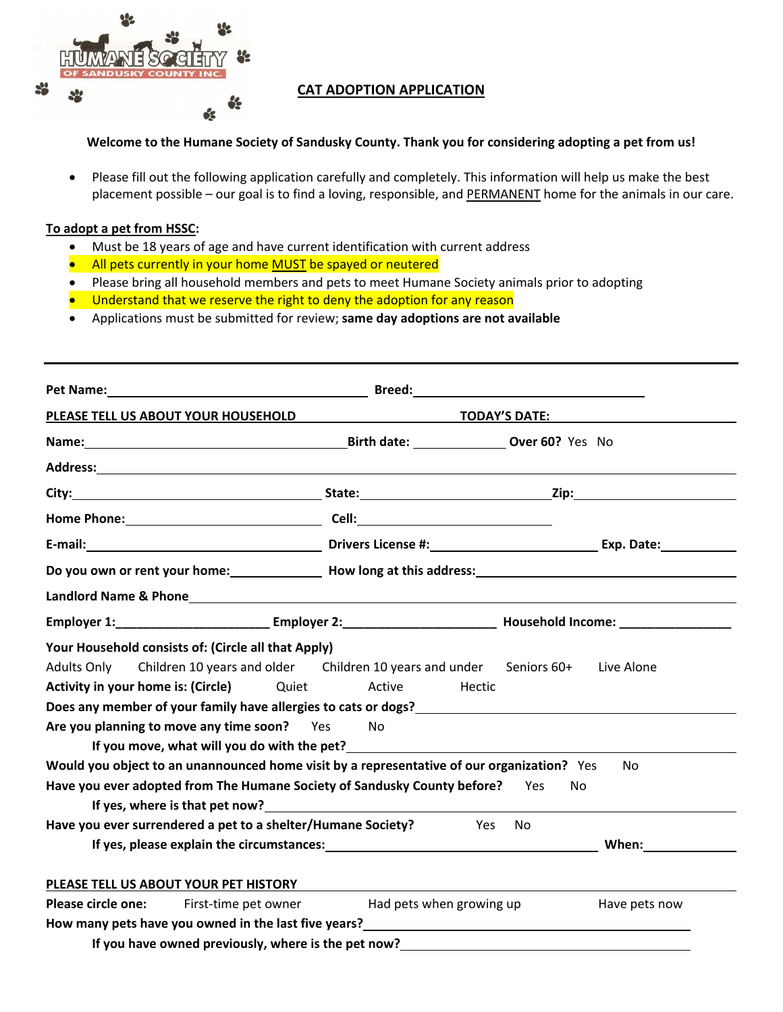

## **CAT ADOPTION APPLICATION**

## **Welcome to the Humane Society of Sandusky County. Thank you for considering adopting a pet from us!**

 Please fill out the following application carefully and completely. This information will help us make the best placement possible – our goal is to find a loving, responsible, and PERMANENT home for the animals in our care.

## **To adopt a pet from HSSC:**

- Must be 18 years of age and have current identification with current address
- All pets currently in your home MUST be spayed or neutered
- Please bring all household members and pets to meet Humane Society animals prior to adopting
- Understand that we reserve the right to deny the adoption for any reason
- Applications must be submitted for review; **same day adoptions are not available**

| Pet Name: <u>Name: Name: Name: Name: Name: Name: Name: Name: Name: Name: Name: Name: Name: Name: Name: Name: Name: Name: Name: Name: Name: Name: Name: Name: Name: Name: Name: Name: Name: Name: Name: Name: Name: Name: Name: N</u>                                                                                                                                                                                                                                                                                                                                                                                      |                                                                                   |                                  |
|---------------------------------------------------------------------------------------------------------------------------------------------------------------------------------------------------------------------------------------------------------------------------------------------------------------------------------------------------------------------------------------------------------------------------------------------------------------------------------------------------------------------------------------------------------------------------------------------------------------------------|-----------------------------------------------------------------------------------|----------------------------------|
| PLEASE TELL US ABOUT YOUR HOUSEHOLD                                                                                                                                                                                                                                                                                                                                                                                                                                                                                                                                                                                       |                                                                                   | TODAY'S DATE: TODAY'S            |
| Name: 0ver 60? Yes No                                                                                                                                                                                                                                                                                                                                                                                                                                                                                                                                                                                                     |                                                                                   |                                  |
|                                                                                                                                                                                                                                                                                                                                                                                                                                                                                                                                                                                                                           |                                                                                   |                                  |
|                                                                                                                                                                                                                                                                                                                                                                                                                                                                                                                                                                                                                           |                                                                                   |                                  |
|                                                                                                                                                                                                                                                                                                                                                                                                                                                                                                                                                                                                                           |                                                                                   |                                  |
|                                                                                                                                                                                                                                                                                                                                                                                                                                                                                                                                                                                                                           |                                                                                   |                                  |
|                                                                                                                                                                                                                                                                                                                                                                                                                                                                                                                                                                                                                           | Do you own or rent your home: Now Long at this address: Now Long at this address: |                                  |
|                                                                                                                                                                                                                                                                                                                                                                                                                                                                                                                                                                                                                           |                                                                                   |                                  |
|                                                                                                                                                                                                                                                                                                                                                                                                                                                                                                                                                                                                                           |                                                                                   |                                  |
| Your Household consists of: (Circle all that Apply)<br>Children 10 years and older Children 10 years and under Seniors 60+<br>Adults Only<br><b>Activity in your home is: (Circle)</b> Quiet Active<br>Does any member of your family have allergies to cats or dogs?<br>Are you planning to move any time soon? Yes<br>If you move, what will you do with the pet?<br>Would you object to an unannounced home visit by a representative of our organization? Yes<br>Have you ever adopted from The Humane Society of Sandusky County before? Yes<br>Have you ever surrendered a pet to a shelter/Humane Society? Thes No | No.                                                                               | Live Alone<br>Hectic<br>No<br>No |
| PLEASE TELL US ABOUT YOUR PET HISTORY<br><b>Please circle one:</b> First-time pet owner <b>has a Had pets when growing up</b><br>How many pets have you owned in the last five years?<br><u> </u><br>If you have owned previously, where is the pet now?<br><u>Letting and the substitute of the peters of the peters of the substitute of the substitute of the substitute of the substitute of the substitute of the substitute of th</u>                                                                                                                                                                               |                                                                                   | Have pets now                    |